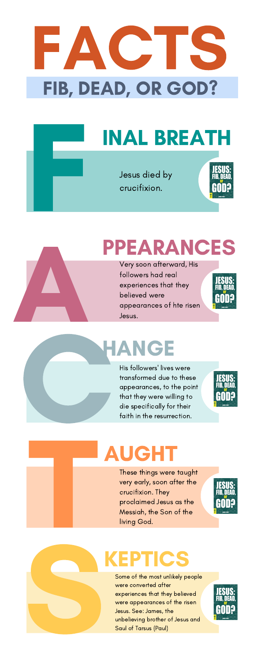## PPEARANCES A

#### HANGE

His followers' lives were transformed due to these appearances, to the point that they were willing to die specifically for their faith in the resurrection. Jesus.<br>
His follow<br>
His follow<br>
transform<br>
appeara<br>
that they<br>
die spec<br>
faith in tl



### KEPTICS

Jesus died by crucifixion.



Some of the most unlikely people were converted after experiences that they believed were appearances of the risen Jesus. See: James, the unbelieving brother of Jesus and Saul of Tarsus (Paul) Some<br>
Some<br>
were dexperience<br>
Desus.<br>
Unbelig<br>
Squl o



Very soon afterward, His followers had real experiences that they believed were appearances of hte risen Jesus.





# INAL BREATH F

### FACTS FIB, DEAD, OR GOD?